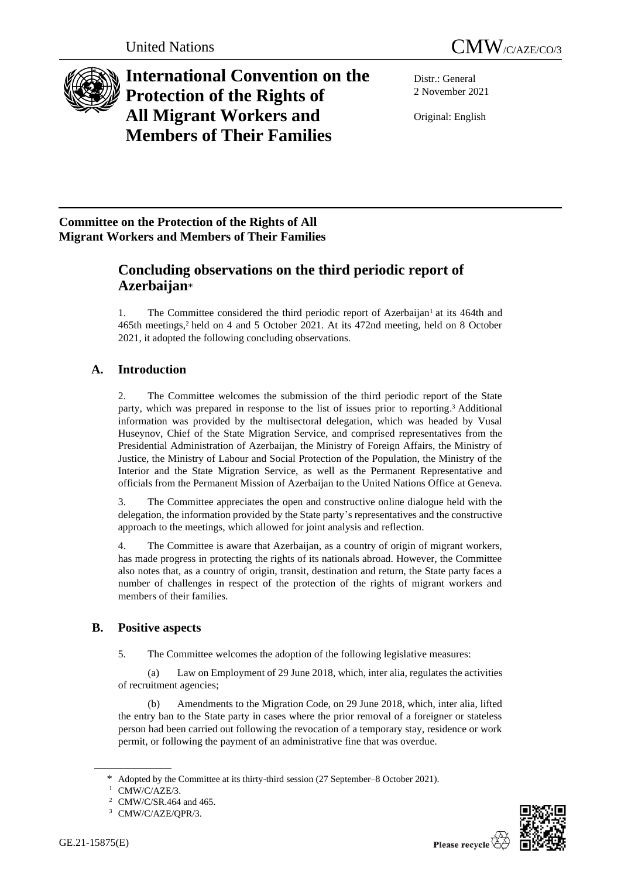

# **International Convention on the Protection of the Rights of All Migrant Workers and Members of Their Families**

Distr.: General 2 November 2021

Original: English

## **Committee on the Protection of the Rights of All Migrant Workers and Members of Their Families**

## **Concluding observations on the third periodic report of Azerbaijan**\*

1. The Committee considered the third periodic report of Azerbaijan<sup>1</sup> at its 464th and 465th meetings,<sup>2</sup> held on 4 and 5 October 2021. At its 472nd meeting, held on 8 October 2021, it adopted the following concluding observations.

## **A. Introduction**

2. The Committee welcomes the submission of the third periodic report of the State party, which was prepared in response to the list of issues prior to reporting. <sup>3</sup> Additional information was provided by the multisectoral delegation, which was headed by Vusal Huseynov, Chief of the State Migration Service, and comprised representatives from the Presidential Administration of Azerbaijan, the Ministry of Foreign Affairs, the Ministry of Justice, the Ministry of Labour and Social Protection of the Population, the Ministry of the Interior and the State Migration Service, as well as the Permanent Representative and officials from the Permanent Mission of Azerbaijan to the United Nations Office at Geneva.

3. The Committee appreciates the open and constructive online dialogue held with the delegation, the information provided by the State party's representatives and the constructive approach to the meetings, which allowed for joint analysis and reflection.

4. The Committee is aware that Azerbaijan, as a country of origin of migrant workers, has made progress in protecting the rights of its nationals abroad. However, the Committee also notes that, as a country of origin, transit, destination and return, the State party faces a number of challenges in respect of the protection of the rights of migrant workers and members of their families.

## **B. Positive aspects**

5. The Committee welcomes the adoption of the following legislative measures:

(a) Law on Employment of 29 June 2018, which, inter alia, regulates the activities of recruitment agencies;

(b) Amendments to the Migration Code, on 29 June 2018, which, inter alia, lifted the entry ban to the State party in cases where the prior removal of a foreigner or stateless person had been carried out following the revocation of a temporary stay, residence or work permit, or following the payment of an administrative fine that was overdue.



Adopted by the Committee at its thirty-third session (27 September–8 October 2021).

CMW/C/AZE/3.

<sup>2</sup> CMW/C/SR.464 and 465.

<sup>3</sup> CMW/C/AZE/QPR/3.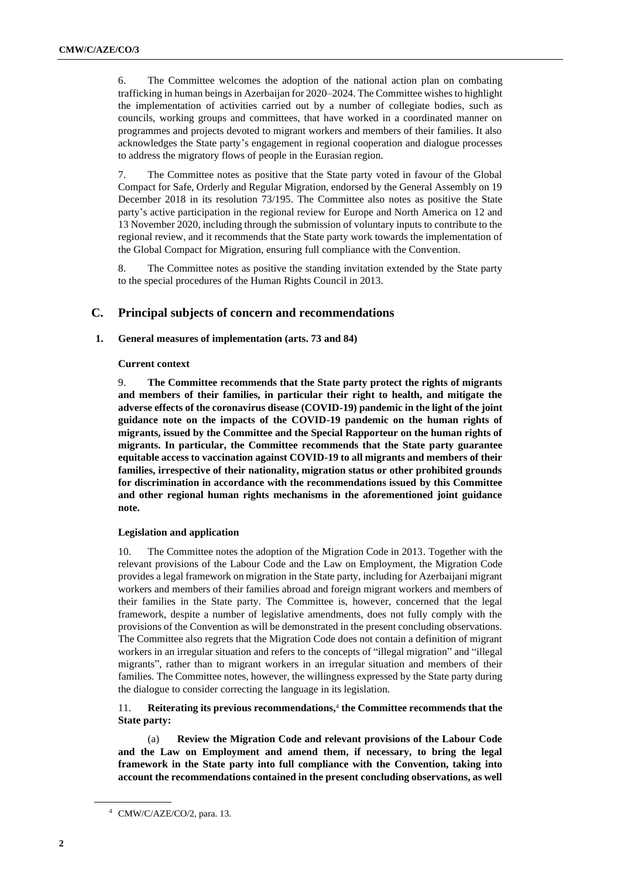6. The Committee welcomes the adoption of the national action plan on combating trafficking in human beings in Azerbaijan for 2020–2024. The Committee wishes to highlight the implementation of activities carried out by a number of collegiate bodies, such as councils, working groups and committees, that have worked in a coordinated manner on programmes and projects devoted to migrant workers and members of their families. It also acknowledges the State party's engagement in regional cooperation and dialogue processes to address the migratory flows of people in the Eurasian region.

7. The Committee notes as positive that the State party voted in favour of the Global Compact for Safe, Orderly and Regular Migration, endorsed by the General Assembly on 19 December 2018 in its resolution 73/195. The Committee also notes as positive the State party's active participation in the regional review for Europe and North America on 12 and 13 November 2020, including through the submission of voluntary inputs to contribute to the regional review, and it recommends that the State party work towards the implementation of the Global Compact for Migration, ensuring full compliance with the Convention.

8. The Committee notes as positive the standing invitation extended by the State party to the special procedures of the Human Rights Council in 2013.

## **C. Principal subjects of concern and recommendations**

## **1. General measures of implementation (arts. 73 and 84)**

#### **Current context**

9. **The Committee recommends that the State party protect the rights of migrants and members of their families, in particular their right to health, and mitigate the adverse effects of the coronavirus disease (COVID-19) pandemic in the light of the joint guidance note on the impacts of the COVID-19 pandemic on the human rights of migrants, issued by the Committee and the Special Rapporteur on the human rights of migrants. In particular, the Committee recommends that the State party guarantee equitable access to vaccination against COVID-19 to all migrants and members of their families, irrespective of their nationality, migration status or other prohibited grounds for discrimination in accordance with the recommendations issued by this Committee and other regional human rights mechanisms in the aforementioned joint guidance note.**

#### **Legislation and application**

10. The Committee notes the adoption of the Migration Code in 2013. Together with the relevant provisions of the Labour Code and the Law on Employment, the Migration Code provides a legal framework on migration in the State party, including for Azerbaijani migrant workers and members of their families abroad and foreign migrant workers and members of their families in the State party. The Committee is, however, concerned that the legal framework, despite a number of legislative amendments, does not fully comply with the provisions of the Convention as will be demonstrated in the present concluding observations. The Committee also regrets that the Migration Code does not contain a definition of migrant workers in an irregular situation and refers to the concepts of "illegal migration" and "illegal migrants", rather than to migrant workers in an irregular situation and members of their families. The Committee notes, however, the willingness expressed by the State party during the dialogue to consider correcting the language in its legislation.

## 11. **Reiterating its previous recommendations,** 4 **the Committee recommends that the State party:**

(a) **Review the Migration Code and relevant provisions of the Labour Code and the Law on Employment and amend them, if necessary, to bring the legal framework in the State party into full compliance with the Convention, taking into account the recommendations contained in the present concluding observations, as well** 

<sup>4</sup> CMW/C/AZE/CO/2, para. 13.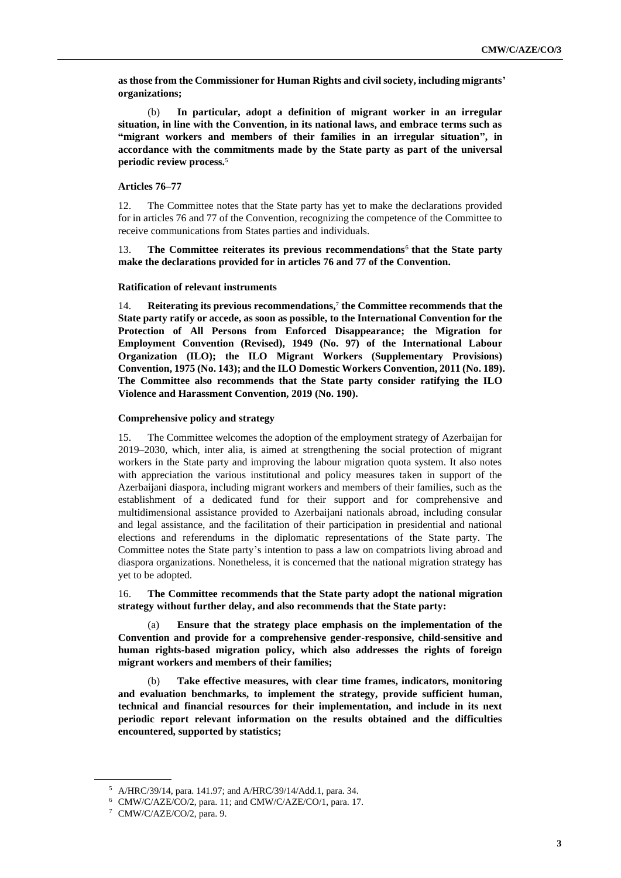**as those from the Commissioner for Human Rights and civil society, including migrants' organizations;**

(b) **In particular, adopt a definition of migrant worker in an irregular situation, in line with the Convention, in its national laws, and embrace terms such as "migrant workers and members of their families in an irregular situation", in accordance with the commitments made by the State party as part of the universal periodic review process.**<sup>5</sup>

#### **Articles 76–77**

12. The Committee notes that the State party has yet to make the declarations provided for in articles 76 and 77 of the Convention, recognizing the competence of the Committee to receive communications from States parties and individuals.

13. **The Committee reiterates its previous recommendations**<sup>6</sup> **that the State party make the declarations provided for in articles 76 and 77 of the Convention.**

#### **Ratification of relevant instruments**

14. **Reiterating its previous recommendations,** 7 **the Committee recommends that the State party ratify or accede, as soon as possible, to the International Convention for the Protection of All Persons from Enforced Disappearance; the Migration for Employment Convention (Revised), 1949 (No. 97) of the International Labour Organization (ILO); the ILO Migrant Workers (Supplementary Provisions) Convention, 1975 (No. 143); and the ILO Domestic Workers Convention, 2011 (No. 189). The Committee also recommends that the State party consider ratifying the ILO Violence and Harassment Convention, 2019 (No. 190).**

#### **Comprehensive policy and strategy**

15. The Committee welcomes the adoption of the employment strategy of Azerbaijan for 2019–2030, which, inter alia, is aimed at strengthening the social protection of migrant workers in the State party and improving the labour migration quota system. It also notes with appreciation the various institutional and policy measures taken in support of the Azerbaijani diaspora, including migrant workers and members of their families, such as the establishment of a dedicated fund for their support and for comprehensive and multidimensional assistance provided to Azerbaijani nationals abroad, including consular and legal assistance, and the facilitation of their participation in presidential and national elections and referendums in the diplomatic representations of the State party. The Committee notes the State party's intention to pass a law on compatriots living abroad and diaspora organizations. Nonetheless, it is concerned that the national migration strategy has yet to be adopted.

16. **The Committee recommends that the State party adopt the national migration strategy without further delay, and also recommends that the State party:**

Ensure that the strategy place emphasis on the implementation of the **Convention and provide for a comprehensive gender-responsive, child-sensitive and human rights-based migration policy, which also addresses the rights of foreign migrant workers and members of their families;**

(b) **Take effective measures, with clear time frames, indicators, monitoring and evaluation benchmarks, to implement the strategy, provide sufficient human, technical and financial resources for their implementation, and include in its next periodic report relevant information on the results obtained and the difficulties encountered, supported by statistics;**

<sup>5</sup> A/HRC/39/14, para. 141.97; and A/HRC/39/14/Add.1, para. 34.

<sup>6</sup> CMW/C/AZE/CO/2, para. 11; and CMW/C/AZE/CO/1, para. 17.

<sup>7</sup> CMW/C/AZE/CO/2, para. 9.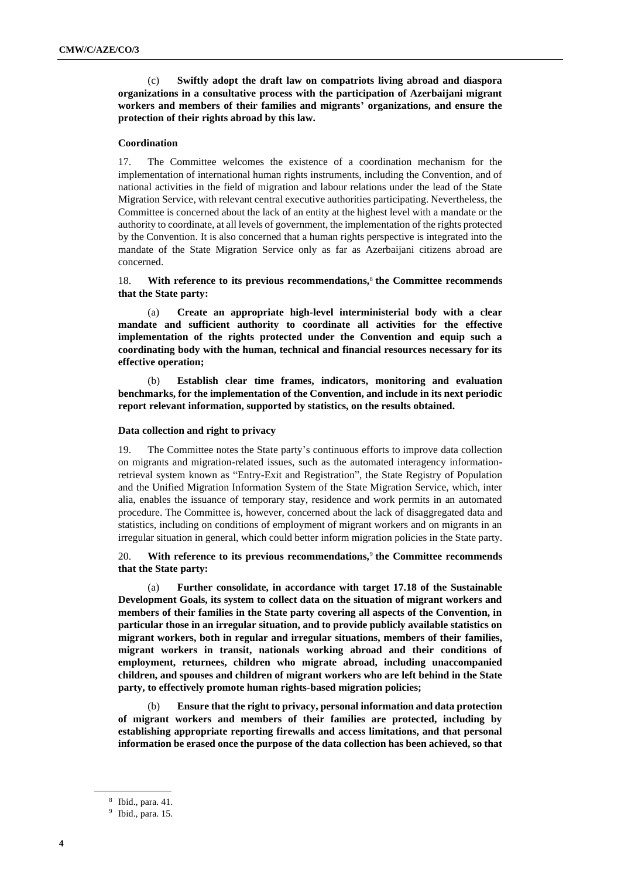(c) **Swiftly adopt the draft law on compatriots living abroad and diaspora organizations in a consultative process with the participation of Azerbaijani migrant workers and members of their families and migrants' organizations, and ensure the protection of their rights abroad by this law.**

#### **Coordination**

17. The Committee welcomes the existence of a coordination mechanism for the implementation of international human rights instruments, including the Convention, and of national activities in the field of migration and labour relations under the lead of the State Migration Service, with relevant central executive authorities participating. Nevertheless, the Committee is concerned about the lack of an entity at the highest level with a mandate or the authority to coordinate, at all levels of government, the implementation of the rights protected by the Convention. It is also concerned that a human rights perspective is integrated into the mandate of the State Migration Service only as far as Azerbaijani citizens abroad are concerned.

## 18. **With reference to its previous recommendations,**<sup>8</sup> **the Committee recommends that the State party:**

(a) **Create an appropriate high-level interministerial body with a clear mandate and sufficient authority to coordinate all activities for the effective implementation of the rights protected under the Convention and equip such a coordinating body with the human, technical and financial resources necessary for its effective operation;**

(b) **Establish clear time frames, indicators, monitoring and evaluation benchmarks, for the implementation of the Convention, and include in its next periodic report relevant information, supported by statistics, on the results obtained.**

## **Data collection and right to privacy**

19. The Committee notes the State party's continuous efforts to improve data collection on migrants and migration-related issues, such as the automated interagency informationretrieval system known as "Entry-Exit and Registration", the State Registry of Population and the Unified Migration Information System of the State Migration Service, which, inter alia, enables the issuance of temporary stay, residence and work permits in an automated procedure. The Committee is, however, concerned about the lack of disaggregated data and statistics, including on conditions of employment of migrant workers and on migrants in an irregular situation in general, which could better inform migration policies in the State party.

## 20. **With reference to its previous recommendations,**<sup>9</sup> **the Committee recommends that the State party:**

(a) **Further consolidate, in accordance with target 17.18 of the Sustainable Development Goals, its system to collect data on the situation of migrant workers and members of their families in the State party covering all aspects of the Convention, in particular those in an irregular situation, and to provide publicly available statistics on migrant workers, both in regular and irregular situations, members of their families, migrant workers in transit, nationals working abroad and their conditions of employment, returnees, children who migrate abroad, including unaccompanied children, and spouses and children of migrant workers who are left behind in the State party, to effectively promote human rights-based migration policies;**

(b) **Ensure that the right to privacy, personal information and data protection of migrant workers and members of their families are protected, including by establishing appropriate reporting firewalls and access limitations, and that personal information be erased once the purpose of the data collection has been achieved, so that** 

<sup>8</sup> Ibid., para. 41.

<sup>9</sup> Ibid., para. 15.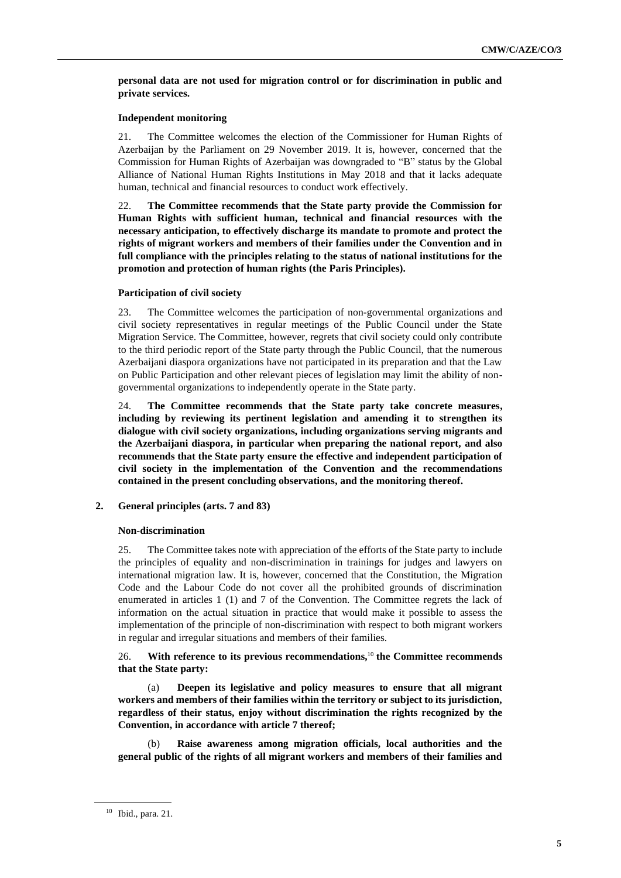## **personal data are not used for migration control or for discrimination in public and private services.**

## **Independent monitoring**

21. The Committee welcomes the election of the Commissioner for Human Rights of Azerbaijan by the Parliament on 29 November 2019. It is, however, concerned that the Commission for Human Rights of Azerbaijan was downgraded to "B" status by the Global Alliance of National Human Rights Institutions in May 2018 and that it lacks adequate human, technical and financial resources to conduct work effectively.

22. **The Committee recommends that the State party provide the Commission for Human Rights with sufficient human, technical and financial resources with the necessary anticipation, to effectively discharge its mandate to promote and protect the rights of migrant workers and members of their families under the Convention and in full compliance with the principles relating to the status of national institutions for the promotion and protection of human rights (the Paris Principles).**

## **Participation of civil society**

23. The Committee welcomes the participation of non-governmental organizations and civil society representatives in regular meetings of the Public Council under the State Migration Service. The Committee, however, regrets that civil society could only contribute to the third periodic report of the State party through the Public Council, that the numerous Azerbaijani diaspora organizations have not participated in its preparation and that the Law on Public Participation and other relevant pieces of legislation may limit the ability of nongovernmental organizations to independently operate in the State party.

24. **The Committee recommends that the State party take concrete measures, including by reviewing its pertinent legislation and amending it to strengthen its dialogue with civil society organizations, including organizations serving migrants and the Azerbaijani diaspora, in particular when preparing the national report, and also recommends that the State party ensure the effective and independent participation of civil society in the implementation of the Convention and the recommendations contained in the present concluding observations, and the monitoring thereof.**

**2. General principles (arts. 7 and 83)**

## **Non-discrimination**

25. The Committee takes note with appreciation of the efforts of the State party to include the principles of equality and non-discrimination in trainings for judges and lawyers on international migration law. It is, however, concerned that the Constitution, the Migration Code and the Labour Code do not cover all the prohibited grounds of discrimination enumerated in articles 1 (1) and 7 of the Convention. The Committee regrets the lack of information on the actual situation in practice that would make it possible to assess the implementation of the principle of non-discrimination with respect to both migrant workers in regular and irregular situations and members of their families.

26. **With reference to its previous recommendations,**<sup>10</sup> **the Committee recommends that the State party:**

(a) **Deepen its legislative and policy measures to ensure that all migrant workers and members of their families within the territory or subject to its jurisdiction, regardless of their status, enjoy without discrimination the rights recognized by the Convention, in accordance with article 7 thereof;**

(b) **Raise awareness among migration officials, local authorities and the general public of the rights of all migrant workers and members of their families and** 

<sup>10</sup> Ibid., para. 21.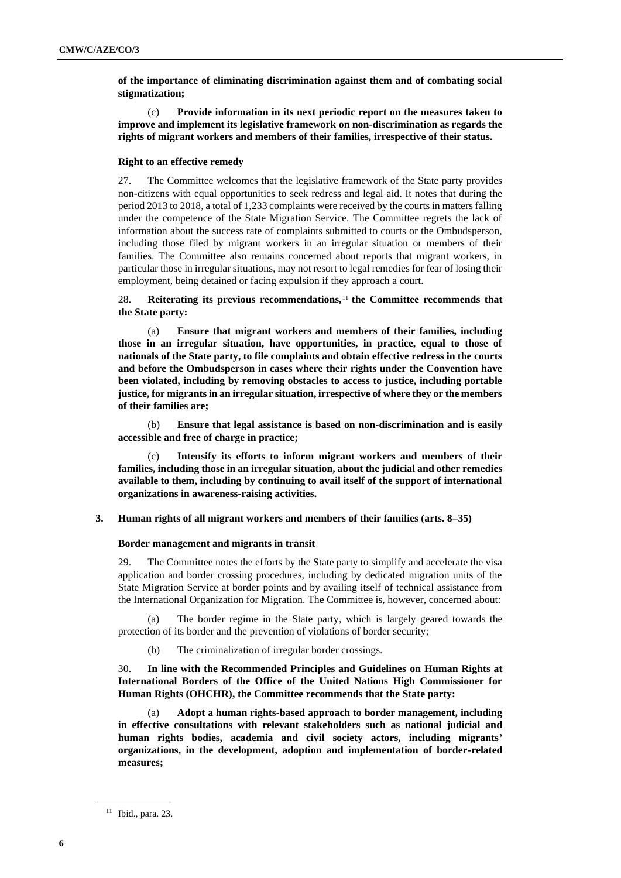**of the importance of eliminating discrimination against them and of combating social stigmatization;**

(c) **Provide information in its next periodic report on the measures taken to improve and implement its legislative framework on non-discrimination as regards the rights of migrant workers and members of their families, irrespective of their status.**

#### **Right to an effective remedy**

27. The Committee welcomes that the legislative framework of the State party provides non-citizens with equal opportunities to seek redress and legal aid. It notes that during the period 2013 to 2018, a total of 1,233 complaints were received by the courts in matters falling under the competence of the State Migration Service. The Committee regrets the lack of information about the success rate of complaints submitted to courts or the Ombudsperson, including those filed by migrant workers in an irregular situation or members of their families. The Committee also remains concerned about reports that migrant workers, in particular those in irregular situations, may not resort to legal remedies for fear of losing their employment, being detained or facing expulsion if they approach a court.

28. **Reiterating its previous recommendations,**<sup>11</sup> **the Committee recommends that the State party:**

(a) **Ensure that migrant workers and members of their families, including those in an irregular situation, have opportunities, in practice, equal to those of nationals of the State party, to file complaints and obtain effective redress in the courts and before the Ombudsperson in cases where their rights under the Convention have been violated, including by removing obstacles to access to justice, including portable justice, for migrants in an irregular situation, irrespective of where they or the members of their families are;**

(b) **Ensure that legal assistance is based on non-discrimination and is easily accessible and free of charge in practice;**

(c) **Intensify its efforts to inform migrant workers and members of their families, including those in an irregular situation, about the judicial and other remedies available to them, including by continuing to avail itself of the support of international organizations in awareness-raising activities.**

## **3. Human rights of all migrant workers and members of their families (arts. 8–35)**

#### **Border management and migrants in transit**

29. The Committee notes the efforts by the State party to simplify and accelerate the visa application and border crossing procedures, including by dedicated migration units of the State Migration Service at border points and by availing itself of technical assistance from the International Organization for Migration. The Committee is, however, concerned about:

(a) The border regime in the State party, which is largely geared towards the protection of its border and the prevention of violations of border security;

(b) The criminalization of irregular border crossings.

30. **In line with the Recommended Principles and Guidelines on Human Rights at International Borders of the Office of the United Nations High Commissioner for Human Rights (OHCHR), the Committee recommends that the State party:**

(a) **Adopt a human rights-based approach to border management, including in effective consultations with relevant stakeholders such as national judicial and human rights bodies, academia and civil society actors, including migrants' organizations, in the development, adoption and implementation of border-related measures;**

<sup>11</sup> Ibid., para. 23.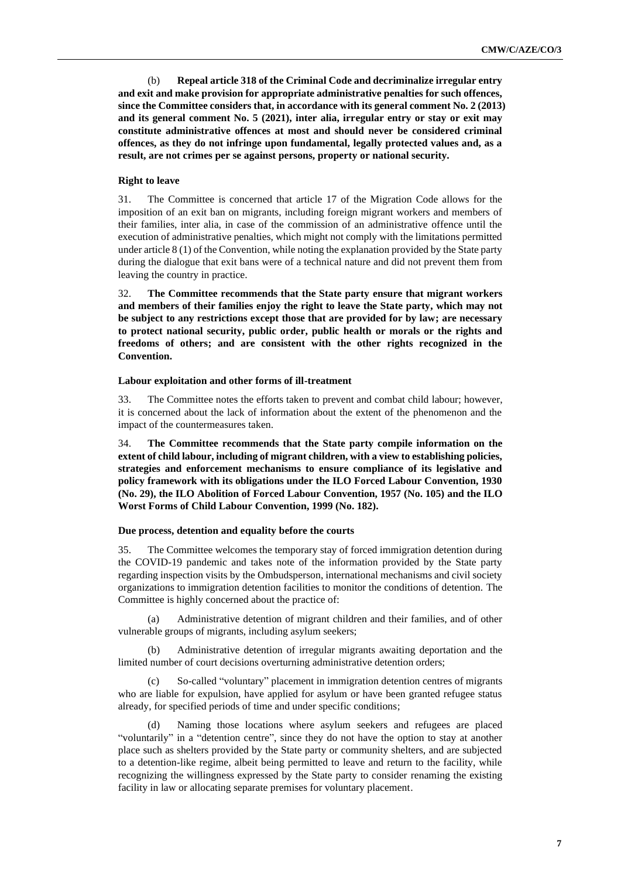(b) **Repeal article 318 of the Criminal Code and decriminalize irregular entry and exit and make provision for appropriate administrative penalties for such offences, since the Committee considers that, in accordance with its general comment No. 2 (2013) and its general comment No. 5 (2021), inter alia, irregular entry or stay or exit may constitute administrative offences at most and should never be considered criminal offences, as they do not infringe upon fundamental, legally protected values and, as a result, are not crimes per se against persons, property or national security.**

## **Right to leave**

31. The Committee is concerned that article 17 of the Migration Code allows for the imposition of an exit ban on migrants, including foreign migrant workers and members of their families, inter alia, in case of the commission of an administrative offence until the execution of administrative penalties, which might not comply with the limitations permitted under article 8 (1) of the Convention, while noting the explanation provided by the State party during the dialogue that exit bans were of a technical nature and did not prevent them from leaving the country in practice.

32. **The Committee recommends that the State party ensure that migrant workers and members of their families enjoy the right to leave the State party, which may not be subject to any restrictions except those that are provided for by law; are necessary to protect national security, public order, public health or morals or the rights and freedoms of others; and are consistent with the other rights recognized in the Convention.**

#### **Labour exploitation and other forms of ill-treatment**

33. The Committee notes the efforts taken to prevent and combat child labour; however, it is concerned about the lack of information about the extent of the phenomenon and the impact of the countermeasures taken.

34. **The Committee recommends that the State party compile information on the extent of child labour, including of migrant children, with a view to establishing policies, strategies and enforcement mechanisms to ensure compliance of its legislative and policy framework with its obligations under the ILO Forced Labour Convention, 1930 (No. 29), the ILO Abolition of Forced Labour Convention, 1957 (No. 105) and the ILO Worst Forms of Child Labour Convention, 1999 (No. 182).**

#### **Due process, detention and equality before the courts**

35. The Committee welcomes the temporary stay of forced immigration detention during the COVID-19 pandemic and takes note of the information provided by the State party regarding inspection visits by the Ombudsperson, international mechanisms and civil society organizations to immigration detention facilities to monitor the conditions of detention. The Committee is highly concerned about the practice of:

(a) Administrative detention of migrant children and their families, and of other vulnerable groups of migrants, including asylum seekers;

(b) Administrative detention of irregular migrants awaiting deportation and the limited number of court decisions overturning administrative detention orders;

(c) So-called "voluntary" placement in immigration detention centres of migrants who are liable for expulsion, have applied for asylum or have been granted refugee status already, for specified periods of time and under specific conditions;

Naming those locations where asylum seekers and refugees are placed "voluntarily" in a "detention centre", since they do not have the option to stay at another place such as shelters provided by the State party or community shelters, and are subjected to a detention-like regime, albeit being permitted to leave and return to the facility, while recognizing the willingness expressed by the State party to consider renaming the existing facility in law or allocating separate premises for voluntary placement.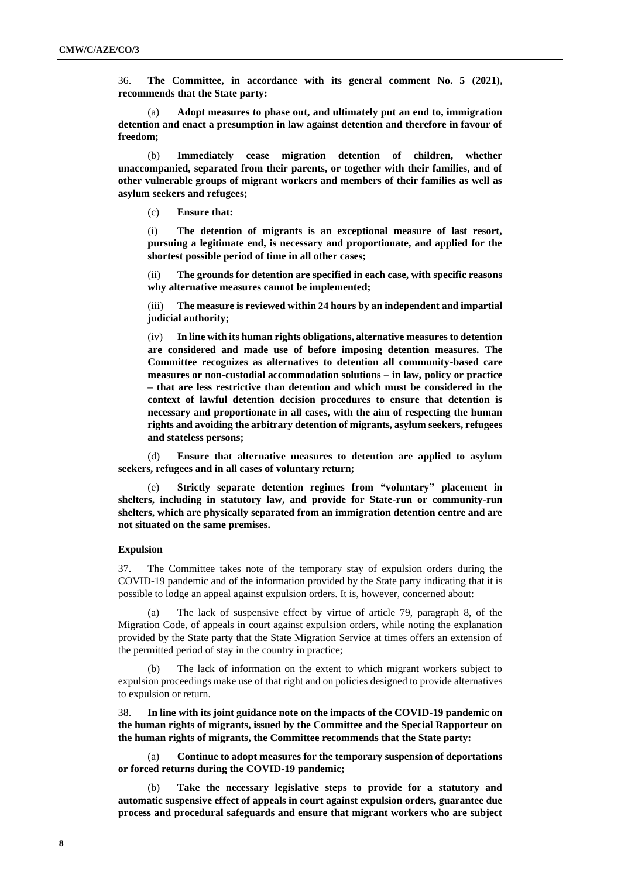36. **The Committee, in accordance with its general comment No. 5 (2021), recommends that the State party:**

(a) **Adopt measures to phase out, and ultimately put an end to, immigration detention and enact a presumption in law against detention and therefore in favour of freedom;**

(b) **Immediately cease migration detention of children, whether unaccompanied, separated from their parents, or together with their families, and of other vulnerable groups of migrant workers and members of their families as well as asylum seekers and refugees;**

(c) **Ensure that:**

(i) **The detention of migrants is an exceptional measure of last resort, pursuing a legitimate end, is necessary and proportionate, and applied for the shortest possible period of time in all other cases;**

(ii) **The grounds for detention are specified in each case, with specific reasons why alternative measures cannot be implemented;**

(iii) **The measure is reviewed within 24 hours by an independent and impartial judicial authority;**

(iv) **In line with its human rights obligations, alternative measures to detention are considered and made use of before imposing detention measures. The Committee recognizes as alternatives to detention all community-based care measures or non-custodial accommodation solutions – in law, policy or practice – that are less restrictive than detention and which must be considered in the context of lawful detention decision procedures to ensure that detention is necessary and proportionate in all cases, with the aim of respecting the human rights and avoiding the arbitrary detention of migrants, asylum seekers, refugees and stateless persons;**

(d) **Ensure that alternative measures to detention are applied to asylum seekers, refugees and in all cases of voluntary return;**

(e) **Strictly separate detention regimes from "voluntary" placement in shelters, including in statutory law, and provide for State-run or community-run shelters, which are physically separated from an immigration detention centre and are not situated on the same premises.**

#### **Expulsion**

37. The Committee takes note of the temporary stay of expulsion orders during the COVID-19 pandemic and of the information provided by the State party indicating that it is possible to lodge an appeal against expulsion orders. It is, however, concerned about:

(a) The lack of suspensive effect by virtue of article 79, paragraph 8, of the Migration Code, of appeals in court against expulsion orders, while noting the explanation provided by the State party that the State Migration Service at times offers an extension of the permitted period of stay in the country in practice;

(b) The lack of information on the extent to which migrant workers subject to expulsion proceedings make use of that right and on policies designed to provide alternatives to expulsion or return.

38. **In line with its joint guidance note on the impacts of the COVID-19 pandemic on the human rights of migrants, issued by the Committee and the Special Rapporteur on the human rights of migrants, the Committee recommends that the State party:**

(a) **Continue to adopt measures for the temporary suspension of deportations or forced returns during the COVID-19 pandemic;**

(b) **Take the necessary legislative steps to provide for a statutory and automatic suspensive effect of appeals in court against expulsion orders, guarantee due process and procedural safeguards and ensure that migrant workers who are subject**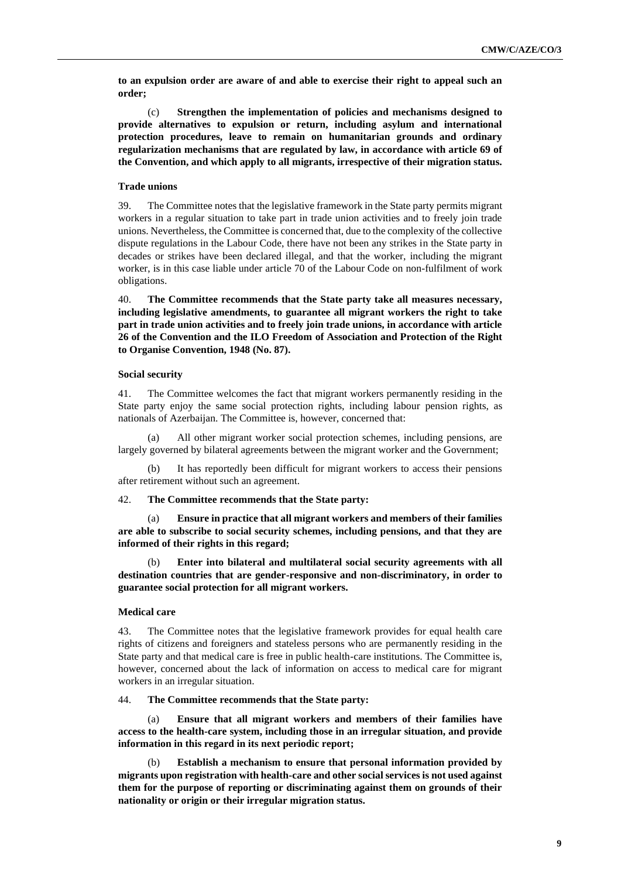**to an expulsion order are aware of and able to exercise their right to appeal such an order;**

(c) **Strengthen the implementation of policies and mechanisms designed to provide alternatives to expulsion or return, including asylum and international protection procedures, leave to remain on humanitarian grounds and ordinary regularization mechanisms that are regulated by law, in accordance with article 69 of the Convention, and which apply to all migrants, irrespective of their migration status.**

#### **Trade unions**

39. The Committee notes that the legislative framework in the State party permits migrant workers in a regular situation to take part in trade union activities and to freely join trade unions. Nevertheless, the Committee is concerned that, due to the complexity of the collective dispute regulations in the Labour Code, there have not been any strikes in the State party in decades or strikes have been declared illegal, and that the worker, including the migrant worker, is in this case liable under article 70 of the Labour Code on non-fulfilment of work obligations.

40. **The Committee recommends that the State party take all measures necessary, including legislative amendments, to guarantee all migrant workers the right to take part in trade union activities and to freely join trade unions, in accordance with article 26 of the Convention and the ILO Freedom of Association and Protection of the Right to Organise Convention, 1948 (No. 87).**

#### **Social security**

41. The Committee welcomes the fact that migrant workers permanently residing in the State party enjoy the same social protection rights, including labour pension rights, as nationals of Azerbaijan. The Committee is, however, concerned that:

(a) All other migrant worker social protection schemes, including pensions, are largely governed by bilateral agreements between the migrant worker and the Government;

(b) It has reportedly been difficult for migrant workers to access their pensions after retirement without such an agreement.

#### 42. **The Committee recommends that the State party:**

(a) **Ensure in practice that all migrant workers and members of their families are able to subscribe to social security schemes, including pensions, and that they are informed of their rights in this regard;**

(b) **Enter into bilateral and multilateral social security agreements with all destination countries that are gender-responsive and non-discriminatory, in order to guarantee social protection for all migrant workers.**

## **Medical care**

43. The Committee notes that the legislative framework provides for equal health care rights of citizens and foreigners and stateless persons who are permanently residing in the State party and that medical care is free in public health-care institutions. The Committee is, however, concerned about the lack of information on access to medical care for migrant workers in an irregular situation.

44. **The Committee recommends that the State party:**

(a) **Ensure that all migrant workers and members of their families have access to the health-care system, including those in an irregular situation, and provide information in this regard in its next periodic report;**

(b) **Establish a mechanism to ensure that personal information provided by migrants upon registration with health-care and other social services is not used against them for the purpose of reporting or discriminating against them on grounds of their nationality or origin or their irregular migration status.**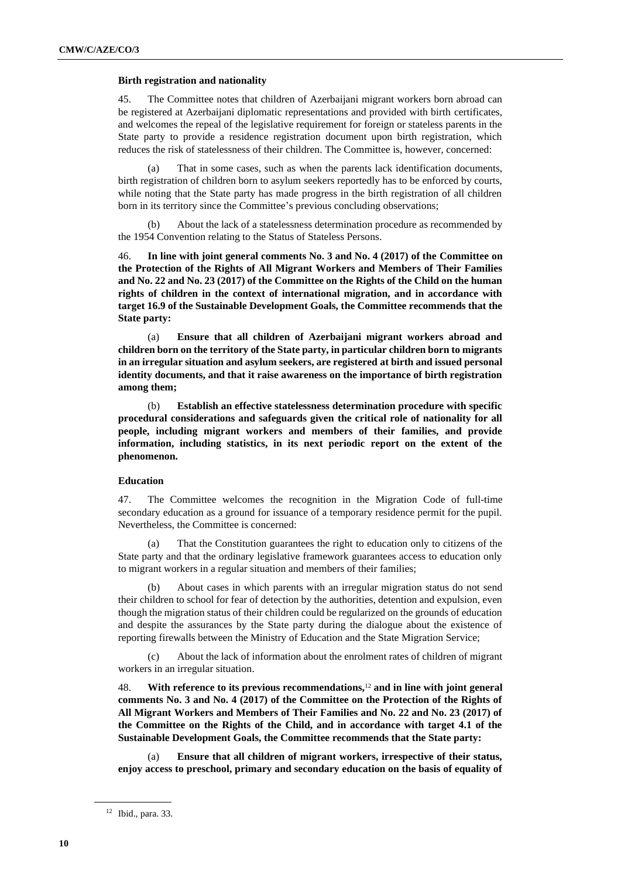#### **Birth registration and nationality**

45. The Committee notes that children of Azerbaijani migrant workers born abroad can be registered at Azerbaijani diplomatic representations and provided with birth certificates, and welcomes the repeal of the legislative requirement for foreign or stateless parents in the State party to provide a residence registration document upon birth registration, which reduces the risk of statelessness of their children. The Committee is, however, concerned:

(a) That in some cases, such as when the parents lack identification documents, birth registration of children born to asylum seekers reportedly has to be enforced by courts, while noting that the State party has made progress in the birth registration of all children born in its territory since the Committee's previous concluding observations;

About the lack of a statelessness determination procedure as recommended by the 1954 Convention relating to the Status of Stateless Persons.

46. **In line with joint general comments No. 3 and No. 4 (2017) of the Committee on the Protection of the Rights of All Migrant Workers and Members of Their Families and No. 22 and No. 23 (2017) of the Committee on the Rights of the Child on the human rights of children in the context of international migration, and in accordance with target 16.9 of the Sustainable Development Goals, the Committee recommends that the State party:**

(a) **Ensure that all children of Azerbaijani migrant workers abroad and children born on the territory of the State party, in particular children born to migrants in an irregular situation and asylum seekers, are registered at birth and issued personal identity documents, and that it raise awareness on the importance of birth registration among them;**

(b) **Establish an effective statelessness determination procedure with specific procedural considerations and safeguards given the critical role of nationality for all people, including migrant workers and members of their families, and provide information, including statistics, in its next periodic report on the extent of the phenomenon.**

## **Education**

47. The Committee welcomes the recognition in the Migration Code of full-time secondary education as a ground for issuance of a temporary residence permit for the pupil. Nevertheless, the Committee is concerned:

(a) That the Constitution guarantees the right to education only to citizens of the State party and that the ordinary legislative framework guarantees access to education only to migrant workers in a regular situation and members of their families;

(b) About cases in which parents with an irregular migration status do not send their children to school for fear of detection by the authorities, detention and expulsion, even though the migration status of their children could be regularized on the grounds of education and despite the assurances by the State party during the dialogue about the existence of reporting firewalls between the Ministry of Education and the State Migration Service;

(c) About the lack of information about the enrolment rates of children of migrant workers in an irregular situation.

48. **With reference to its previous recommendations,**<sup>12</sup> **and in line with joint general comments No. 3 and No. 4 (2017) of the Committee on the Protection of the Rights of All Migrant Workers and Members of Their Families and No. 22 and No. 23 (2017) of the Committee on the Rights of the Child, and in accordance with target 4.1 of the Sustainable Development Goals, the Committee recommends that the State party:**

(a) **Ensure that all children of migrant workers, irrespective of their status, enjoy access to preschool, primary and secondary education on the basis of equality of** 

<sup>12</sup> Ibid., para. 33.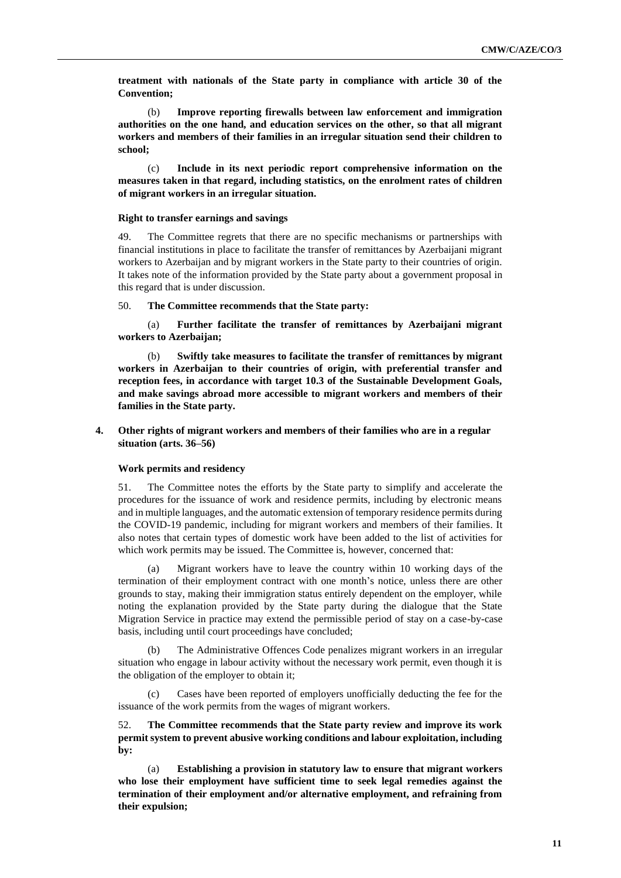**treatment with nationals of the State party in compliance with article 30 of the Convention;**

(b) **Improve reporting firewalls between law enforcement and immigration authorities on the one hand, and education services on the other, so that all migrant workers and members of their families in an irregular situation send their children to school;**

(c) **Include in its next periodic report comprehensive information on the measures taken in that regard, including statistics, on the enrolment rates of children of migrant workers in an irregular situation.**

#### **Right to transfer earnings and savings**

49. The Committee regrets that there are no specific mechanisms or partnerships with financial institutions in place to facilitate the transfer of remittances by Azerbaijani migrant workers to Azerbaijan and by migrant workers in the State party to their countries of origin. It takes note of the information provided by the State party about a government proposal in this regard that is under discussion.

50. **The Committee recommends that the State party:**

(a) **Further facilitate the transfer of remittances by Azerbaijani migrant workers to Azerbaijan;**

(b) **Swiftly take measures to facilitate the transfer of remittances by migrant workers in Azerbaijan to their countries of origin, with preferential transfer and reception fees, in accordance with target 10.3 of the Sustainable Development Goals, and make savings abroad more accessible to migrant workers and members of their families in the State party.**

## **4. Other rights of migrant workers and members of their families who are in a regular situation (arts. 36–56)**

#### **Work permits and residency**

51. The Committee notes the efforts by the State party to simplify and accelerate the procedures for the issuance of work and residence permits, including by electronic means and in multiple languages, and the automatic extension of temporary residence permits during the COVID-19 pandemic, including for migrant workers and members of their families. It also notes that certain types of domestic work have been added to the list of activities for which work permits may be issued. The Committee is, however, concerned that:

(a) Migrant workers have to leave the country within 10 working days of the termination of their employment contract with one month's notice, unless there are other grounds to stay, making their immigration status entirely dependent on the employer, while noting the explanation provided by the State party during the dialogue that the State Migration Service in practice may extend the permissible period of stay on a case-by-case basis, including until court proceedings have concluded;

The Administrative Offences Code penalizes migrant workers in an irregular situation who engage in labour activity without the necessary work permit, even though it is the obligation of the employer to obtain it;

Cases have been reported of employers unofficially deducting the fee for the issuance of the work permits from the wages of migrant workers.

52. **The Committee recommends that the State party review and improve its work permit system to prevent abusive working conditions and labour exploitation, including by:**

**Establishing a provision in statutory law to ensure that migrant workers who lose their employment have sufficient time to seek legal remedies against the termination of their employment and/or alternative employment, and refraining from their expulsion;**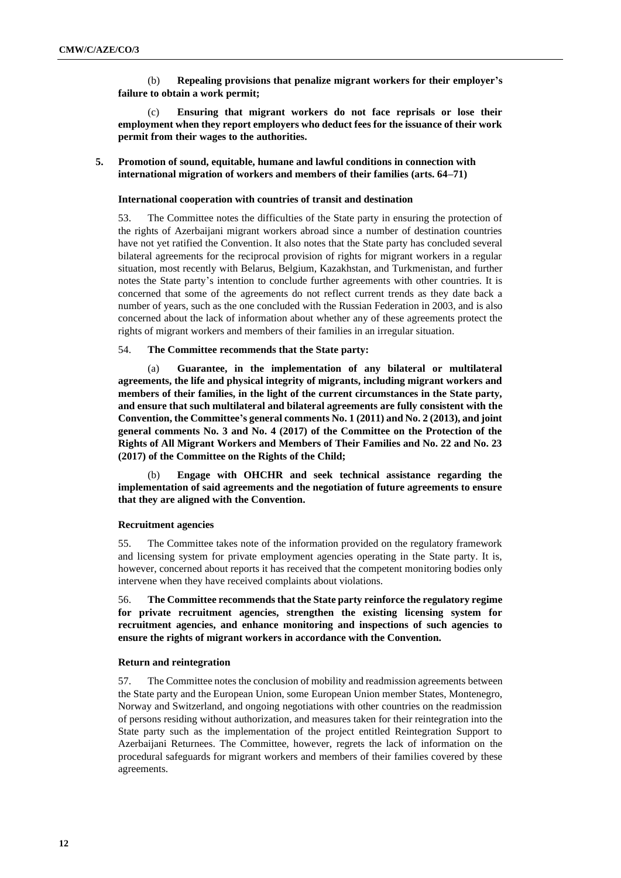(b) **Repealing provisions that penalize migrant workers for their employer's failure to obtain a work permit;**

(c) **Ensuring that migrant workers do not face reprisals or lose their employment when they report employers who deduct fees for the issuance of their work permit from their wages to the authorities.**

## **5. Promotion of sound, equitable, humane and lawful conditions in connection with international migration of workers and members of their families (arts. 64–71)**

## **International cooperation with countries of transit and destination**

53. The Committee notes the difficulties of the State party in ensuring the protection of the rights of Azerbaijani migrant workers abroad since a number of destination countries have not yet ratified the Convention. It also notes that the State party has concluded several bilateral agreements for the reciprocal provision of rights for migrant workers in a regular situation, most recently with Belarus, Belgium, Kazakhstan, and Turkmenistan, and further notes the State party's intention to conclude further agreements with other countries. It is concerned that some of the agreements do not reflect current trends as they date back a number of years, such as the one concluded with the Russian Federation in 2003, and is also concerned about the lack of information about whether any of these agreements protect the rights of migrant workers and members of their families in an irregular situation.

## 54. **The Committee recommends that the State party:**

Guarantee, in the implementation of any bilateral or multilateral **agreements, the life and physical integrity of migrants, including migrant workers and members of their families, in the light of the current circumstances in the State party, and ensure that such multilateral and bilateral agreements are fully consistent with the Convention, the Committee's general comments No. 1 (2011) and No. 2 (2013), and joint general comments No. 3 and No. 4 (2017) of the Committee on the Protection of the Rights of All Migrant Workers and Members of Their Families and No. 22 and No. 23 (2017) of the Committee on the Rights of the Child;**

(b) **Engage with OHCHR and seek technical assistance regarding the implementation of said agreements and the negotiation of future agreements to ensure that they are aligned with the Convention.**

## **Recruitment agencies**

55. The Committee takes note of the information provided on the regulatory framework and licensing system for private employment agencies operating in the State party. It is, however, concerned about reports it has received that the competent monitoring bodies only intervene when they have received complaints about violations.

56. **The Committee recommends that the State party reinforce the regulatory regime for private recruitment agencies, strengthen the existing licensing system for recruitment agencies, and enhance monitoring and inspections of such agencies to ensure the rights of migrant workers in accordance with the Convention.**

## **Return and reintegration**

57. The Committee notes the conclusion of mobility and readmission agreements between the State party and the European Union, some European Union member States, Montenegro, Norway and Switzerland, and ongoing negotiations with other countries on the readmission of persons residing without authorization, and measures taken for their reintegration into the State party such as the implementation of the project entitled Reintegration Support to Azerbaijani Returnees. The Committee, however, regrets the lack of information on the procedural safeguards for migrant workers and members of their families covered by these agreements.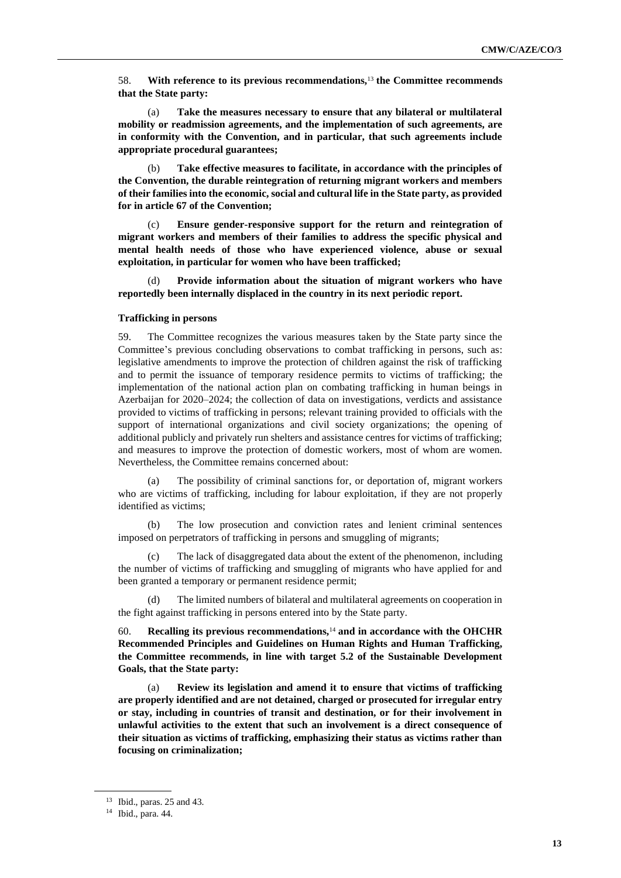58. **With reference to its previous recommendations,**<sup>13</sup> **the Committee recommends that the State party:**

(a) **Take the measures necessary to ensure that any bilateral or multilateral mobility or readmission agreements, and the implementation of such agreements, are in conformity with the Convention, and in particular, that such agreements include appropriate procedural guarantees;**

(b) **Take effective measures to facilitate, in accordance with the principles of the Convention, the durable reintegration of returning migrant workers and members of their families into the economic, social and cultural life in the State party, as provided for in article 67 of the Convention;**

Ensure gender-responsive support for the return and reintegration of **migrant workers and members of their families to address the specific physical and mental health needs of those who have experienced violence, abuse or sexual exploitation, in particular for women who have been trafficked;**

(d) **Provide information about the situation of migrant workers who have reportedly been internally displaced in the country in its next periodic report.**

#### **Trafficking in persons**

59. The Committee recognizes the various measures taken by the State party since the Committee's previous concluding observations to combat trafficking in persons, such as: legislative amendments to improve the protection of children against the risk of trafficking and to permit the issuance of temporary residence permits to victims of trafficking; the implementation of the national action plan on combating trafficking in human beings in Azerbaijan for 2020–2024; the collection of data on investigations, verdicts and assistance provided to victims of trafficking in persons; relevant training provided to officials with the support of international organizations and civil society organizations; the opening of additional publicly and privately run shelters and assistance centres for victims of trafficking; and measures to improve the protection of domestic workers, most of whom are women. Nevertheless, the Committee remains concerned about:

(a) The possibility of criminal sanctions for, or deportation of, migrant workers who are victims of trafficking, including for labour exploitation, if they are not properly identified as victims;

(b) The low prosecution and conviction rates and lenient criminal sentences imposed on perpetrators of trafficking in persons and smuggling of migrants;

(c) The lack of disaggregated data about the extent of the phenomenon, including the number of victims of trafficking and smuggling of migrants who have applied for and been granted a temporary or permanent residence permit;

The limited numbers of bilateral and multilateral agreements on cooperation in the fight against trafficking in persons entered into by the State party.

60. **Recalling its previous recommendations,**<sup>14</sup> **and in accordance with the OHCHR Recommended Principles and Guidelines on Human Rights and Human Trafficking, the Committee recommends, in line with target 5.2 of the Sustainable Development Goals, that the State party:**

**Review its legislation and amend it to ensure that victims of trafficking are properly identified and are not detained, charged or prosecuted for irregular entry or stay, including in countries of transit and destination, or for their involvement in unlawful activities to the extent that such an involvement is a direct consequence of their situation as victims of trafficking, emphasizing their status as victims rather than focusing on criminalization;**

<sup>13</sup> Ibid., paras. 25 and 43.

<sup>14</sup> Ibid., para. 44.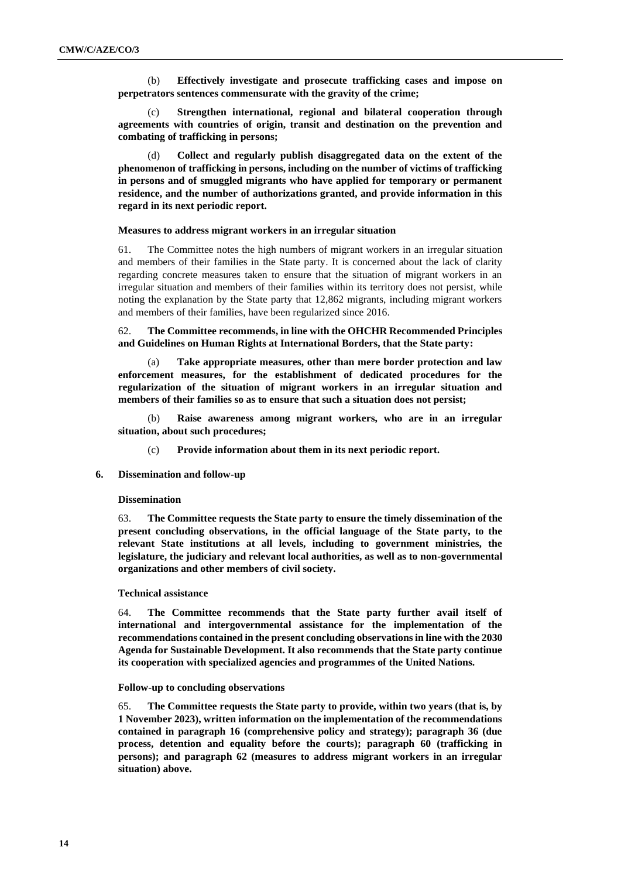(b) **Effectively investigate and prosecute trafficking cases and impose on perpetrators sentences commensurate with the gravity of the crime;**

(c) **Strengthen international, regional and bilateral cooperation through agreements with countries of origin, transit and destination on the prevention and combating of trafficking in persons;**

(d) **Collect and regularly publish disaggregated data on the extent of the phenomenon of trafficking in persons, including on the number of victims of trafficking in persons and of smuggled migrants who have applied for temporary or permanent residence, and the number of authorizations granted, and provide information in this regard in its next periodic report.**

#### **Measures to address migrant workers in an irregular situation**

61. The Committee notes the high numbers of migrant workers in an irregular situation and members of their families in the State party. It is concerned about the lack of clarity regarding concrete measures taken to ensure that the situation of migrant workers in an irregular situation and members of their families within its territory does not persist, while noting the explanation by the State party that 12,862 migrants, including migrant workers and members of their families, have been regularized since 2016.

## 62. **The Committee recommends, in line with the OHCHR Recommended Principles and Guidelines on Human Rights at International Borders, that the State party:**

(a) **Take appropriate measures, other than mere border protection and law enforcement measures, for the establishment of dedicated procedures for the regularization of the situation of migrant workers in an irregular situation and members of their families so as to ensure that such a situation does not persist;**

Raise awareness among migrant workers, who are in an irregular **situation, about such procedures;**

(c) **Provide information about them in its next periodic report.**

## **6. Dissemination and follow-up**

#### **Dissemination**

63. **The Committee requests the State party to ensure the timely dissemination of the present concluding observations, in the official language of the State party, to the relevant State institutions at all levels, including to government ministries, the legislature, the judiciary and relevant local authorities, as well as to non-governmental organizations and other members of civil society.**

#### **Technical assistance**

64. **The Committee recommends that the State party further avail itself of international and intergovernmental assistance for the implementation of the recommendations contained in the present concluding observations in line with the 2030 Agenda for Sustainable Development. It also recommends that the State party continue its cooperation with specialized agencies and programmes of the United Nations.**

#### **Follow-up to concluding observations**

65. **The Committee requests the State party to provide, within two years (that is, by 1 November 2023), written information on the implementation of the recommendations contained in paragraph 16 (comprehensive policy and strategy); paragraph 36 (due process, detention and equality before the courts); paragraph 60 (trafficking in persons); and paragraph 62 (measures to address migrant workers in an irregular situation) above.**